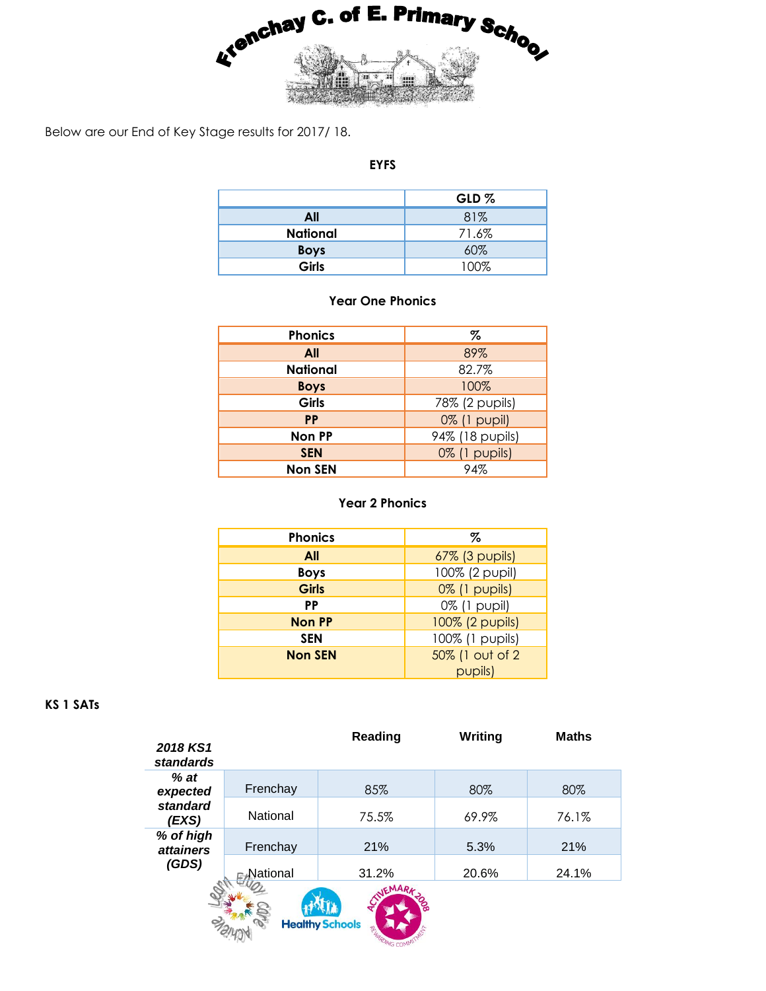

Below are our End of Key Stage results for 2017/ 18.

## **EYFS**

|                 | GLD%  |  |  |
|-----------------|-------|--|--|
| All             | 81%   |  |  |
| <b>National</b> | 71.6% |  |  |
| <b>Boys</b>     | 60%   |  |  |
| Girls           | 100%  |  |  |

## **Year One Phonics**

| <b>Phonics</b>  | %                                      |  |  |  |
|-----------------|----------------------------------------|--|--|--|
| All             | 89%                                    |  |  |  |
| <b>National</b> | 82.7%                                  |  |  |  |
| <b>Boys</b>     | 100%<br>78% (2 pupils)<br>0% (1 pupil) |  |  |  |
| Girls           |                                        |  |  |  |
| <b>PP</b>       |                                        |  |  |  |
| <b>Non PP</b>   | 94% (18 pupils)                        |  |  |  |
| <b>SEN</b>      | 0% (1 pupils)                          |  |  |  |
| <b>Non SEN</b>  | 94%                                    |  |  |  |

## **Year 2 Phonics**

| <b>Phonics</b> | Z               |  |  |  |
|----------------|-----------------|--|--|--|
| All            | 67% (3 pupils)  |  |  |  |
| <b>Boys</b>    | 100% (2 pupil)  |  |  |  |
| <b>Girls</b>   | 0% (1 pupils)   |  |  |  |
| PP             | 0% (1 pupil)    |  |  |  |
| <b>Non PP</b>  | 100% (2 pupils) |  |  |  |
| <b>SEN</b>     | 100% (1 pupils) |  |  |  |
| <b>Non SEN</b> | 50% (1 out of 2 |  |  |  |
|                | pupils)         |  |  |  |

## **KS 1 SATs**

| 2018 KS1<br>standards         |          | Reading | Writing | <b>Maths</b> |  |
|-------------------------------|----------|---------|---------|--------------|--|
| $%$ at<br>expected            | Frenchay | 85%     | 80%     | 80%          |  |
| standard<br>(EXS)             | National | 75.5%   | 69.9%   | 76.1%        |  |
| % of high<br><i>attainers</i> | Frenchay | 21%     | 5.3%    | 21%          |  |
| (GDS)                         | National | 31.2%   | 20.6%   | 24.1%        |  |
| <b>Healthy Schools</b>        |          |         |         |              |  |